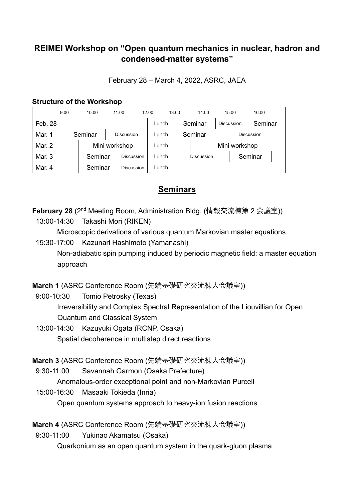## **REIMEI Workshop on "Open quantum mechanics in nuclear, hadron and condensed-matter systems"**

February 28 – March 4, 2022, ASRC, JAEA

## **Structure of the Workshop**

|         | 9:00 |         | 10:00   |                   | 11:00      | 12:00 |       | 13:00 |         | 14:00             |                   | 15:00      | 16:00   |  |
|---------|------|---------|---------|-------------------|------------|-------|-------|-------|---------|-------------------|-------------------|------------|---------|--|
| Feb. 28 |      |         |         |                   |            |       | Lunch |       |         | Seminar           |                   | Discussion | Seminar |  |
| Mar. 1  |      | Seminar |         | <b>Discussion</b> |            |       | Lunch |       | Seminar |                   | <b>Discussion</b> |            |         |  |
| Mar. 2  |      |         |         | Mini workshop     |            |       | Lunch |       |         | Mini workshop     |                   |            |         |  |
| Mar. 3  |      |         | Seminar |                   | Discussion |       | Lunch |       |         | <b>Discussion</b> |                   |            | Seminar |  |
| Mar. 4  |      |         | Seminar |                   | Discussion |       | Lunch |       |         |                   |                   |            |         |  |

## **Seminars**

**February 28** (2nd Meeting Room, Administration Bldg. (情報交流棟第 2 会議室))

13:00-14:30 Takashi Mori (RIKEN)

Microscopic derivations of various quantum Markovian master equations

15:30-17:00 Kazunari Hashimoto (Yamanashi) Non-adiabatic spin pumping induced by periodic magnetic field: a master equation approach

**March 1** (ASRC Conference Room (先端基礎研究交流棟大会議室))

- 9:00-10:30 Tomio Petrosky (Texas) Irreversibility and Complex Spectral Representation of the Liouvillian for Open Quantum and Classical System
- 13:00-14:30 Kazuyuki Ogata (RCNP, Osaka) Spatial decoherence in multistep direct reactions

**March 3** (ASRC Conference Room (先端基礎研究交流棟大会議室))

9:30-11:00 Savannah Garmon (Osaka Prefecture)

Anomalous-order exceptional point and non-Markovian Purcell

15:00-16:30 Masaaki Tokieda (Inria)

Open quantum systems approach to heavy-ion fusion reactions

**March 4** (ASRC Conference Room (先端基礎研究交流棟大会議室))

9:30-11:00 Yukinao Akamatsu (Osaka) Quarkonium as an open quantum system in the quark-gluon plasma